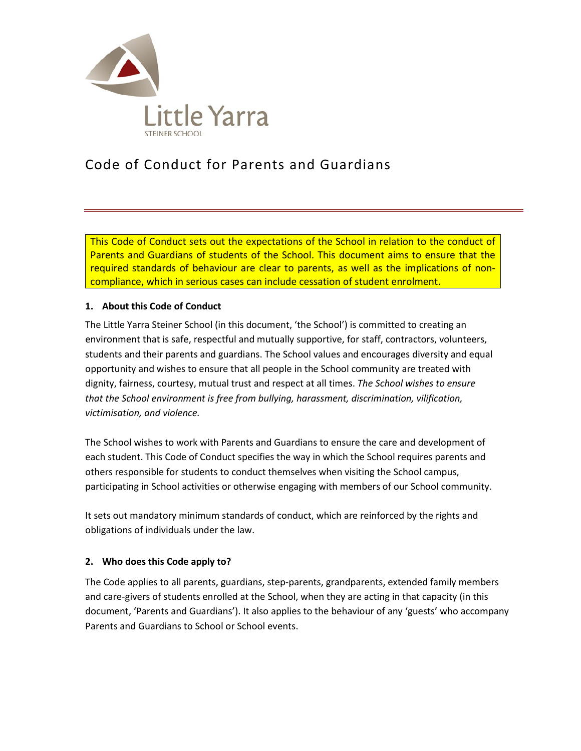

# Code of Conduct for Parents and Guardians

This Code of Conduct sets out the expectations of the School in relation to the conduct of Parents and Guardians of students of the School. This document aims to ensure that the required standards of behaviour are clear to parents, as well as the implications of noncompliance, which in serious cases can include cessation of student enrolment.

## **1. About this Code of Conduct**

The Little Yarra Steiner School (in this document, 'the School') is committed to creating an environment that is safe, respectful and mutually supportive, for staff, contractors, volunteers, students and their parents and guardians. The School values and encourages diversity and equal opportunity and wishes to ensure that all people in the School community are treated with dignity, fairness, courtesy, mutual trust and respect at all times. *The School wishes to ensure that the School environment is free from bullying, harassment, discrimination, vilification, victimisation, and violence.*

The School wishes to work with Parents and Guardians to ensure the care and development of each student. This Code of Conduct specifies the way in which the School requires parents and others responsible for students to conduct themselves when visiting the School campus, participating in School activities or otherwise engaging with members of our School community.

It sets out mandatory minimum standards of conduct, which are reinforced by the rights and obligations of individuals under the law.

## **2. Who does this Code apply to?**

The Code applies to all parents, guardians, step-parents, grandparents, extended family members and care-givers of students enrolled at the School, when they are acting in that capacity (in this document, 'Parents and Guardians'). It also applies to the behaviour of any 'guests' who accompany Parents and Guardians to School or School events.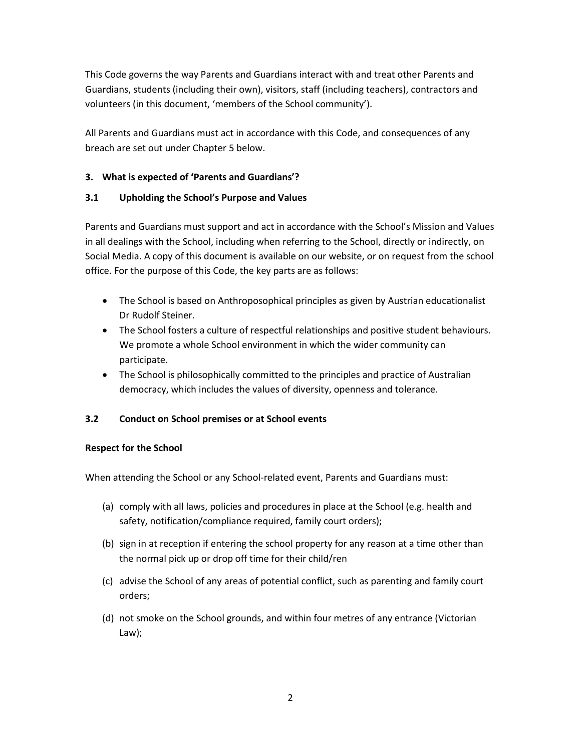This Code governs the way Parents and Guardians interact with and treat other Parents and Guardians, students (including their own), visitors, staff (including teachers), contractors and volunteers (in this document, 'members of the School community').

All Parents and Guardians must act in accordance with this Code, and consequences of any breach are set out under Chapter 5 below.

# **3. What is expected of 'Parents and Guardians'?**

# **3.1 Upholding the School's Purpose and Values**

Parents and Guardians must support and act in accordance with the School's Mission and Values in all dealings with the School, including when referring to the School, directly or indirectly, on Social Media. A copy of this document is available on our website, or on request from the school office. For the purpose of this Code, the key parts are as follows:

- The School is based on Anthroposophical principles as given by Austrian educationalist Dr Rudolf Steiner.
- The School fosters a culture of respectful relationships and positive student behaviours. We promote a whole School environment in which the wider community can participate.
- The School is philosophically committed to the principles and practice of Australian democracy, which includes the values of diversity, openness and tolerance.

# **3.2 Conduct on School premises or at School events**

# **Respect for the School**

When attending the School or any School-related event, Parents and Guardians must:

- (a) comply with all laws, policies and procedures in place at the School (e.g. health and safety, notification/compliance required, family court orders);
- (b) sign in at reception if entering the school property for any reason at a time other than the normal pick up or drop off time for their child/ren
- (c) advise the School of any areas of potential conflict, such as parenting and family court orders;
- (d) not smoke on the School grounds, and within four metres of any entrance (Victorian Law);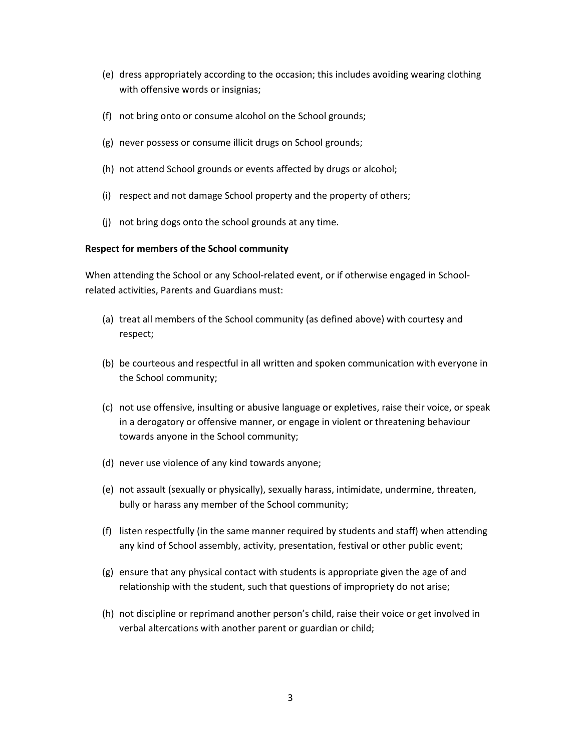- (e) dress appropriately according to the occasion; this includes avoiding wearing clothing with offensive words or insignias;
- (f) not bring onto or consume alcohol on the School grounds;
- (g) never possess or consume illicit drugs on School grounds;
- (h) not attend School grounds or events affected by drugs or alcohol;
- (i) respect and not damage School property and the property of others;
- (j) not bring dogs onto the school grounds at any time.

#### **Respect for members of the School community**

When attending the School or any School-related event, or if otherwise engaged in Schoolrelated activities, Parents and Guardians must:

- (a) treat all members of the School community (as defined above) with courtesy and respect;
- (b) be courteous and respectful in all written and spoken communication with everyone in the School community;
- (c) not use offensive, insulting or abusive language or expletives, raise their voice, or speak in a derogatory or offensive manner, or engage in violent or threatening behaviour towards anyone in the School community;
- (d) never use violence of any kind towards anyone;
- (e) not assault (sexually or physically), sexually harass, intimidate, undermine, threaten, bully or harass any member of the School community;
- (f) listen respectfully (in the same manner required by students and staff) when attending any kind of School assembly, activity, presentation, festival or other public event;
- (g) ensure that any physical contact with students is appropriate given the age of and relationship with the student, such that questions of impropriety do not arise;
- (h) not discipline or reprimand another person's child, raise their voice or get involved in verbal altercations with another parent or guardian or child;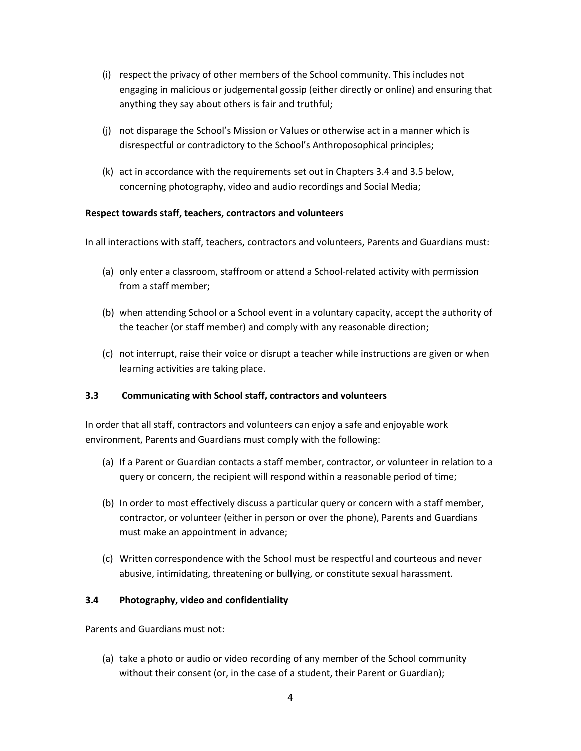- (i) respect the privacy of other members of the School community. This includes not engaging in malicious or judgemental gossip (either directly or online) and ensuring that anything they say about others is fair and truthful;
- (j) not disparage the School's Mission or Values or otherwise act in a manner which is disrespectful or contradictory to the School's Anthroposophical principles;
- (k) act in accordance with the requirements set out in Chapters 3.4 and 3.5 below, concerning photography, video and audio recordings and Social Media;

## **Respect towards staff, teachers, contractors and volunteers**

In all interactions with staff, teachers, contractors and volunteers, Parents and Guardians must:

- (a) only enter a classroom, staffroom or attend a School-related activity with permission from a staff member;
- (b) when attending School or a School event in a voluntary capacity, accept the authority of the teacher (or staff member) and comply with any reasonable direction;
- (c) not interrupt, raise their voice or disrupt a teacher while instructions are given or when learning activities are taking place.

## **3.3 Communicating with School staff, contractors and volunteers**

In order that all staff, contractors and volunteers can enjoy a safe and enjoyable work environment, Parents and Guardians must comply with the following:

- (a) If a Parent or Guardian contacts a staff member, contractor, or volunteer in relation to a query or concern, the recipient will respond within a reasonable period of time;
- (b) In order to most effectively discuss a particular query or concern with a staff member, contractor, or volunteer (either in person or over the phone), Parents and Guardians must make an appointment in advance;
- (c) Written correspondence with the School must be respectful and courteous and never abusive, intimidating, threatening or bullying, or constitute sexual harassment.

## **3.4 Photography, video and confidentiality**

Parents and Guardians must not:

(a) take a photo or audio or video recording of any member of the School community without their consent (or, in the case of a student, their Parent or Guardian);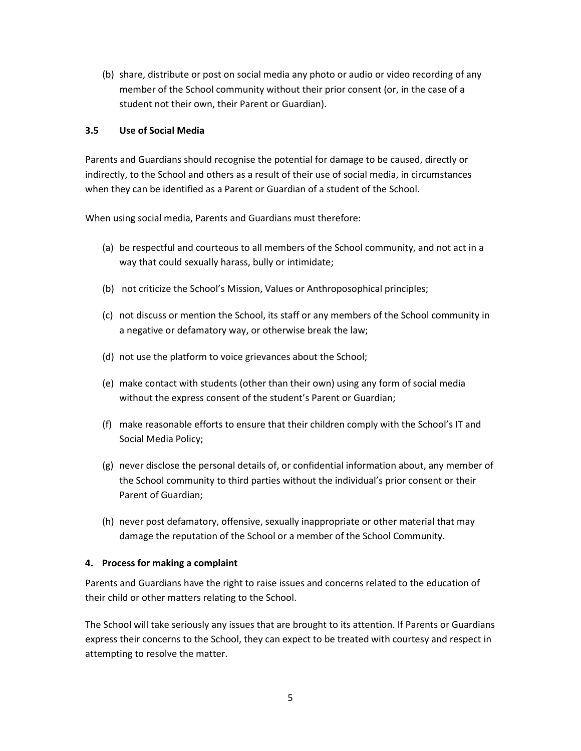(b) share, distribute or post on social media any photo or audio or video recording of any member of the School community without their prior consent (or, in the case of a student not their own, their Parent or Guardian).

## **3.5 Use of Social Media**

Parents and Guardians should recognise the potential for damage to be caused, directly or indirectly, to the School and others as a result of their use of social media, in circumstances when they can be identified as a Parent or Guardian of a student of the School.

When using social media, Parents and Guardians must therefore:

- (a) be respectful and courteous to all members of the School community, and not act in a way that could sexually harass, bully or intimidate;
- (b) not criticize the School's Mission, Values or Anthroposophical principles;
- (c) not discuss or mention the School, its staff or any members of the School community in a negative or defamatory way, or otherwise break the law;
- (d) not use the platform to voice grievances about the School;
- (e) make contact with students (other than their own) using any form of social media without the express consent of the student's Parent or Guardian;
- (f) make reasonable efforts to ensure that their children comply with the School's IT and Social Media Policy;
- (g) never disclose the personal details of, or confidential information about, any member of the School community to third parties without the individual's prior consent or their Parent of Guardian;
- (h) never post defamatory, offensive, sexually inappropriate or other material that may damage the reputation of the School or a member of the School Community.

# **4. Process for making a complaint**

Parents and Guardians have the right to raise issues and concerns related to the education of their child or other matters relating to the School.

The School will take seriously any issues that are brought to its attention. If Parents or Guardians express their concerns to the School, they can expect to be treated with courtesy and respect in attempting to resolve the matter.